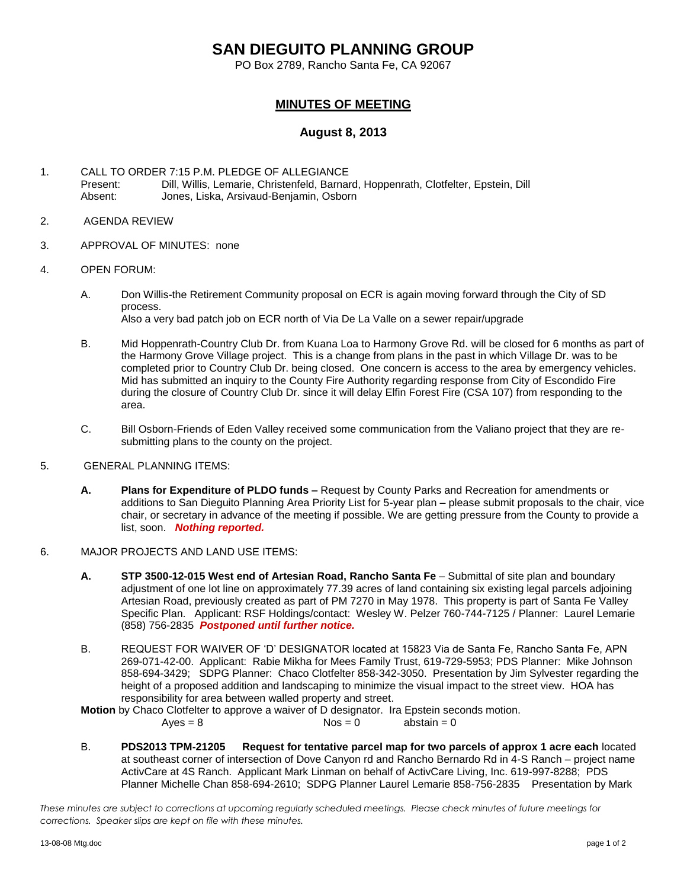# **SAN DIEGUITO PLANNING GROUP**

PO Box 2789, Rancho Santa Fe, CA 92067

## **MINUTES OF MEETING**

### **August 8, 2013**

- 1. CALL TO ORDER 7:15 P.M. PLEDGE OF ALLEGIANCE<br>Present: Dill. Willis. Lemarie. Christenfeld. Barnar Dill, Willis, Lemarie, Christenfeld, Barnard, Hoppenrath, Clotfelter, Epstein, Dill Absent: Jones, Liska, Arsivaud-Benjamin, Osborn
- 2. AGENDA REVIEW
- 3. APPROVAL OF MINUTES: none
- 4. OPEN FORUM:
	- A. Don Willis-the Retirement Community proposal on ECR is again moving forward through the City of SD process. Also a very bad patch job on ECR north of Via De La Valle on a sewer repair/upgrade
	- B. Mid Hoppenrath-Country Club Dr. from Kuana Loa to Harmony Grove Rd. will be closed for 6 months as part of the Harmony Grove Village project. This is a change from plans in the past in which Village Dr. was to be completed prior to Country Club Dr. being closed. One concern is access to the area by emergency vehicles. Mid has submitted an inquiry to the County Fire Authority regarding response from City of Escondido Fire during the closure of Country Club Dr. since it will delay Elfin Forest Fire (CSA 107) from responding to the area.
	- C. Bill Osborn-Friends of Eden Valley received some communication from the Valiano project that they are resubmitting plans to the county on the project.

#### 5. GENERAL PLANNING ITEMS:

- **A. Plans for Expenditure of PLDO funds –** Request by County Parks and Recreation for amendments or additions to San Dieguito Planning Area Priority List for 5-year plan – please submit proposals to the chair, vice chair, or secretary in advance of the meeting if possible. We are getting pressure from the County to provide a list, soon.*Nothing reported.*
- 6. MAJOR PROJECTS AND LAND USE ITEMS:
	- **A. STP 3500-12-015 West end of Artesian Road, Rancho Santa Fe** Submittal of site plan and boundary adjustment of one lot line on approximately 77.39 acres of land containing six existing legal parcels adjoining Artesian Road, previously created as part of PM 7270 in May 1978. This property is part of Santa Fe Valley Specific Plan.Applicant: RSF Holdings/contact: Wesley W. Pelzer 760-744-7125 / Planner: Laurel Lemarie (858) 756-2835 *Postponed until further notice.*
	- B. REQUEST FOR WAIVER OF 'D' DESIGNATOR located at 15823 Via de Santa Fe, Rancho Santa Fe, APN 269-071-42-00. Applicant: Rabie Mikha for Mees Family Trust, 619-729-5953; PDS Planner: Mike Johnson 858-694-3429; SDPG Planner: Chaco Clotfelter 858-342-3050. Presentation by Jim Sylvester regarding the height of a proposed addition and landscaping to minimize the visual impact to the street view. HOA has responsibility for area between walled property and street.

**Motion** by Chaco Clotfelter to approve a waiver of D designator. Ira Epstein seconds motion.

 $Ayes = 8$   $Nos = 0$  abstain = 0

B. **PDS2013 TPM-21205 Request for tentative parcel map for two parcels of approx 1 acre each** located at southeast corner of intersection of Dove Canyon rd and Rancho Bernardo Rd in 4-S Ranch – project name ActivCare at 4S Ranch. Applicant Mark Linman on behalf of ActivCare Living, Inc. 619-997-8288; PDS Planner Michelle Chan 858-694-2610; SDPG Planner Laurel Lemarie 858-756-2835 Presentation by Mark

*These minutes are subject to corrections at upcoming regularly scheduled meetings. Please check minutes of future meetings for corrections. Speaker slips are kept on file with these minutes.*